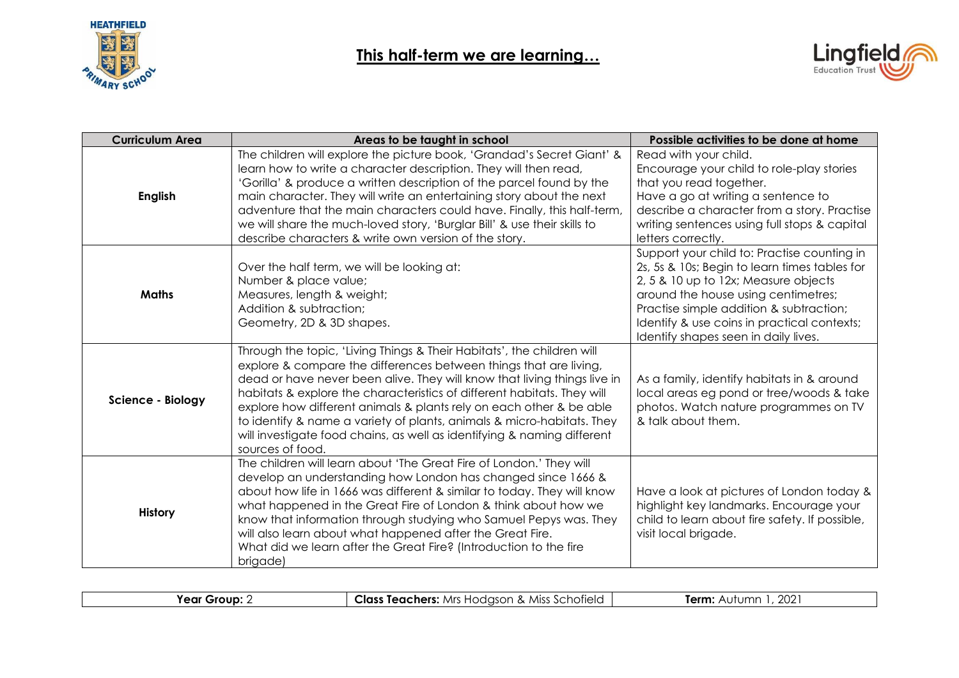



| <b>Curriculum Area</b><br>Areas to be taught in school |                                                                                                                                                                                                                                                                                                                                                                                                                                                                                                                                                    | Possible activities to be done at home                                                                                                                                                                                                                                                                        |
|--------------------------------------------------------|----------------------------------------------------------------------------------------------------------------------------------------------------------------------------------------------------------------------------------------------------------------------------------------------------------------------------------------------------------------------------------------------------------------------------------------------------------------------------------------------------------------------------------------------------|---------------------------------------------------------------------------------------------------------------------------------------------------------------------------------------------------------------------------------------------------------------------------------------------------------------|
| <b>English</b>                                         | The children will explore the picture book, 'Grandad's Secret Giant' &<br>learn how to write a character description. They will then read,<br>'Gorilla' & produce a written description of the parcel found by the<br>main character. They will write an entertaining story about the next<br>adventure that the main characters could have. Finally, this half-term,<br>we will share the much-loved story, 'Burglar Bill' & use their skills to<br>describe characters & write own version of the story.                                         | Read with your child.<br>Encourage your child to role-play stories<br>that you read together.<br>Have a go at writing a sentence to<br>describe a character from a story. Practise<br>writing sentences using full stops & capital<br>letters correctly.                                                      |
| <b>Maths</b>                                           | Over the half term, we will be looking at:<br>Number & place value;<br>Measures, length & weight;<br>Addition & subtraction;<br>Geometry, 2D & 3D shapes.                                                                                                                                                                                                                                                                                                                                                                                          | Support your child to: Practise counting in<br>2s, 5s & 10s; Begin to learn times tables for<br>2, 5 & 10 up to 12x; Measure objects<br>around the house using centimetres;<br>Practise simple addition & subtraction;<br>Identify & use coins in practical contexts;<br>Identify shapes seen in daily lives. |
| <b>Science - Biology</b>                               | Through the topic, 'Living Things & Their Habitats', the children will<br>explore & compare the differences between things that are living,<br>dead or have never been alive. They will know that living things live in<br>habitats & explore the characteristics of different habitats. They will<br>explore how different animals & plants rely on each other & be able<br>to identify & name a variety of plants, animals & micro-habitats. They<br>will investigate food chains, as well as identifying & naming different<br>sources of food. | As a family, identify habitats in & around<br>local areas eg pond or tree/woods & take<br>photos. Watch nature programmes on TV<br>& talk about them.                                                                                                                                                         |
| <b>History</b>                                         | The children will learn about 'The Great Fire of London.' They will<br>develop an understanding how London has changed since 1666 &<br>about how life in 1666 was different & similar to today. They will know<br>what happened in the Great Fire of London & think about how we<br>know that information through studying who Samuel Pepys was. They<br>will also learn about what happened after the Great Fire.<br>What did we learn after the Great Fire? (Introduction to the fire<br>brigade)                                                | Have a look at pictures of London today &<br>highlight key landmarks. Encourage your<br>child to learn about fire safety. If possible,<br>visit local brigade.                                                                                                                                                |

| Year<br>Group | : Miss Schotield<br>Class<br>Mrs Hodason<br>. Teachers: 1<br>$\sim$ | 202<br>Term: .<br>1.122<br>$\mathbf{A}$<br>ושר<br><b>U</b> |
|---------------|---------------------------------------------------------------------|------------------------------------------------------------|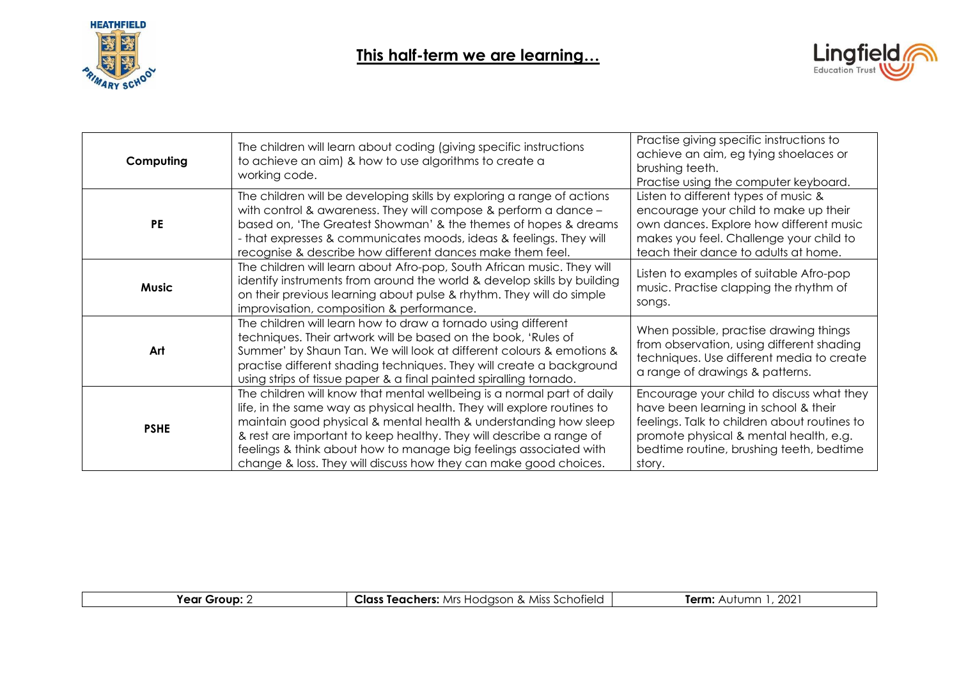



| Computing    | The children will learn about coding (giving specific instructions<br>to achieve an aim) & how to use algorithms to create a<br>working code.                                                                                                                                                                                                                                                                                         | Practise giving specific instructions to<br>achieve an aim, eg tying shoelaces or<br>brushing teeth.<br>Practise using the computer keyboard.                                                                                     |
|--------------|---------------------------------------------------------------------------------------------------------------------------------------------------------------------------------------------------------------------------------------------------------------------------------------------------------------------------------------------------------------------------------------------------------------------------------------|-----------------------------------------------------------------------------------------------------------------------------------------------------------------------------------------------------------------------------------|
| <b>PE</b>    | The children will be developing skills by exploring a range of actions<br>with control & awareness. They will compose & perform a dance -<br>based on, 'The Greatest Showman' & the themes of hopes & dreams<br>- that expresses & communicates moods, ideas & feelings. They will<br>recognise & describe how different dances make them feel.                                                                                       | Listen to different types of music &<br>encourage your child to make up their<br>own dances. Explore how different music<br>makes you feel. Challenge your child to<br>teach their dance to adults at home.                       |
| <b>Music</b> | The children will learn about Afro-pop, South African music. They will<br>identify instruments from around the world & develop skills by building<br>on their previous learning about pulse & rhythm. They will do simple<br>improvisation, composition & performance.                                                                                                                                                                | Listen to examples of suitable Afro-pop<br>music. Practise clapping the rhythm of<br>songs.                                                                                                                                       |
| Art          | The children will learn how to draw a tornado using different<br>techniques. Their artwork will be based on the book, 'Rules of<br>Summer' by Shaun Tan. We will look at different colours & emotions &<br>practise different shading techniques. They will create a background<br>using strips of tissue paper & a final painted spiralling tornado.                                                                                 | When possible, practise drawing things<br>from observation, using different shading<br>techniques. Use different media to create<br>a range of drawings & patterns.                                                               |
| <b>PSHE</b>  | The children will know that mental wellbeing is a normal part of daily<br>life, in the same way as physical health. They will explore routines to<br>maintain good physical & mental health & understanding how sleep<br>& rest are important to keep healthy. They will describe a range of<br>feelings & think about how to manage big feelings associated with<br>change & loss. They will discuss how they can make good choices. | Encourage your child to discuss what they<br>have been learning in school & their<br>feelings. Talk to children about routines to<br>promote physical & mental health, e.g.<br>bedtime routine, brushing teeth, bedtime<br>story. |

| Year<br>Group | Class<br>. Miss 1<br>Schotield<br>Mrs i<br>. Teachers:<br>'∩c∩n<br><b>LAN</b><br>$\alpha$<br>,, ,, | $\sim$<br>Term.<br>$+ + + + -$<br>ZUZ<br>\\ <i>)</i>   \ <i>)</i> |
|---------------|----------------------------------------------------------------------------------------------------|-------------------------------------------------------------------|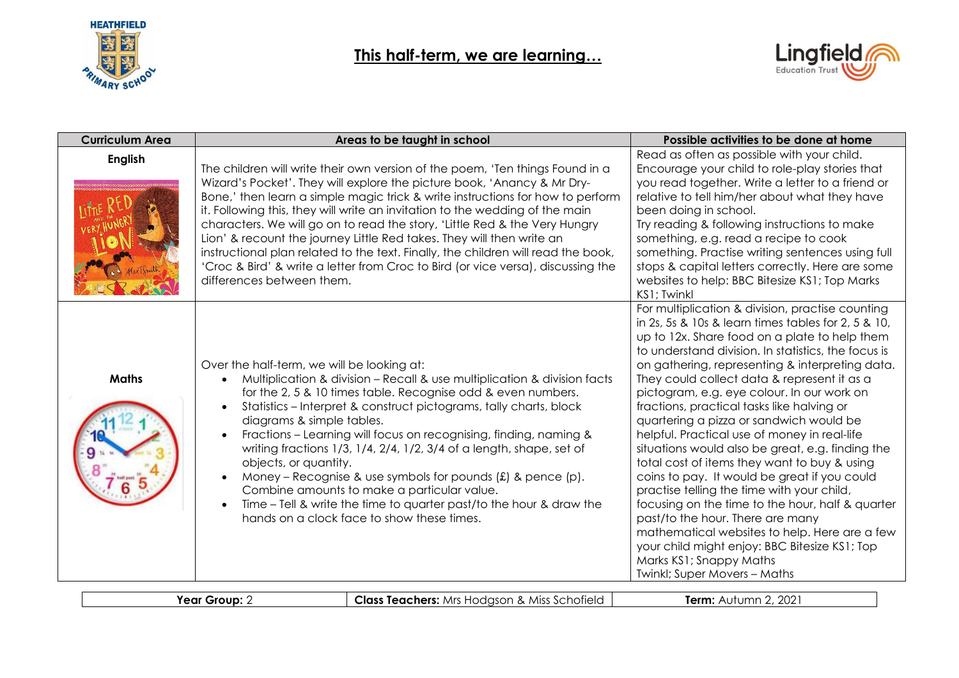



| <b>Curriculum Area</b> | Areas to be taught in school                                                                                                                                                                                                                                                                                                                                                                                                                                                                                                                                                                                                                                                                                                                                | Possible activities to be done at home                                                                                                                                                                                                                                                                                                                                                                                                                                                                                                                                                                                                                                                                                                                                                                                                                                                                                                                                 |
|------------------------|-------------------------------------------------------------------------------------------------------------------------------------------------------------------------------------------------------------------------------------------------------------------------------------------------------------------------------------------------------------------------------------------------------------------------------------------------------------------------------------------------------------------------------------------------------------------------------------------------------------------------------------------------------------------------------------------------------------------------------------------------------------|------------------------------------------------------------------------------------------------------------------------------------------------------------------------------------------------------------------------------------------------------------------------------------------------------------------------------------------------------------------------------------------------------------------------------------------------------------------------------------------------------------------------------------------------------------------------------------------------------------------------------------------------------------------------------------------------------------------------------------------------------------------------------------------------------------------------------------------------------------------------------------------------------------------------------------------------------------------------|
| <b>English</b>         | The children will write their own version of the poem, 'Ten things Found in a<br>Wizard's Pocket'. They will explore the picture book, 'Anancy & Mr Dry-<br>Bone,' then learn a simple magic trick & write instructions for how to perform<br>it. Following this, they will write an invitation to the wedding of the main<br>characters. We will go on to read the story, 'Little Red & the Very Hungry<br>Lion' & recount the journey Little Red takes. They will then write an<br>instructional plan related to the text. Finally, the children will read the book,<br>'Croc & Bird' & write a letter from Croc to Bird (or vice versa), discussing the<br>differences between them.                                                                     | Read as often as possible with your child.<br>Encourage your child to role-play stories that<br>you read together. Write a letter to a friend or<br>relative to tell him/her about what they have<br>been doing in school.<br>Try reading & following instructions to make<br>something, e.g. read a recipe to cook<br>something. Practise writing sentences using full<br>stops & capital letters correctly. Here are some<br>websites to help: BBC Bitesize KS1; Top Marks<br>KS1; Twinkl                                                                                                                                                                                                                                                                                                                                                                                                                                                                            |
| <b>Maths</b>           | Over the half-term, we will be looking at:<br>Multiplication & division - Recall & use multiplication & division facts<br>for the 2, 5 & 10 times table. Recognise odd & even numbers.<br>Statistics - Interpret & construct pictograms, tally charts, block<br>$\bullet$<br>diagrams & simple tables.<br>Fractions - Learning will focus on recognising, finding, naming &<br>$\bullet$<br>writing fractions 1/3, 1/4, 2/4, 1/2, 3/4 of a length, shape, set of<br>objects, or quantity.<br>Money – Recognise & use symbols for pounds $(f)$ & pence $(p)$ .<br>$\bullet$<br>Combine amounts to make a particular value.<br>Time – Tell & write the time to quarter past/to the hour & draw the<br>$\bullet$<br>hands on a clock face to show these times. | For multiplication & division, practise counting<br>in 2s, 5s & 10s & learn times tables for 2, 5 & 10,<br>up to 12x. Share food on a plate to help them<br>to understand division. In statistics, the focus is<br>on gathering, representing & interpreting data.<br>They could collect data & represent it as a<br>pictogram, e.g. eye colour. In our work on<br>fractions, practical tasks like halving or<br>quartering a pizza or sandwich would be<br>helpful. Practical use of money in real-life<br>situations would also be great, e.g. finding the<br>total cost of items they want to buy & using<br>coins to pay. It would be great if you could<br>practise telling the time with your child,<br>focusing on the time to the hour, half & quarter<br>past/to the hour. There are many<br>mathematical websites to help. Here are a few<br>your child might enjoy: BBC Bitesize KS1; Top<br>Marks KS1; Snappy Maths<br><b>Twinkl; Super Movers - Maths</b> |

|--|